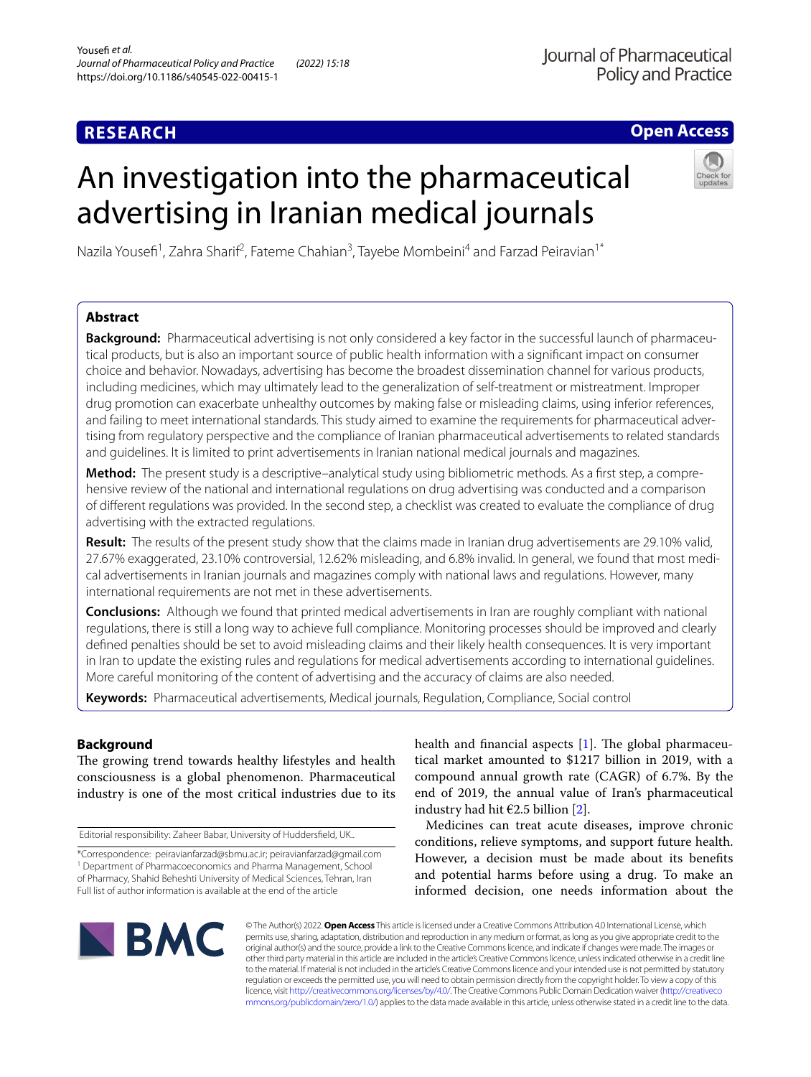## **RESEARCH**

## **Open Access**

# An investigation into the pharmaceutical advertising in Iranian medical journals



Nazila Yousefi<sup>1</sup>, Zahra Sharif<sup>2</sup>, Fateme Chahian<sup>3</sup>, Tayebe Mombeini<sup>4</sup> and Farzad Peiravian<sup>1\*</sup>

## **Abstract**

**Background:** Pharmaceutical advertising is not only considered a key factor in the successful launch of pharmaceutical products, but is also an important source of public health information with a signifcant impact on consumer choice and behavior. Nowadays, advertising has become the broadest dissemination channel for various products, including medicines, which may ultimately lead to the generalization of self-treatment or mistreatment. Improper drug promotion can exacerbate unhealthy outcomes by making false or misleading claims, using inferior references, and failing to meet international standards. This study aimed to examine the requirements for pharmaceutical advertising from regulatory perspective and the compliance of Iranian pharmaceutical advertisements to related standards and guidelines. It is limited to print advertisements in Iranian national medical journals and magazines.

**Method:** The present study is a descriptive–analytical study using bibliometric methods. As a frst step, a comprehensive review of the national and international regulations on drug advertising was conducted and a comparison of diferent regulations was provided. In the second step, a checklist was created to evaluate the compliance of drug advertising with the extracted regulations.

**Result:** The results of the present study show that the claims made in Iranian drug advertisements are 29.10% valid, 27.67% exaggerated, 23.10% controversial, 12.62% misleading, and 6.8% invalid. In general, we found that most medical advertisements in Iranian journals and magazines comply with national laws and regulations. However, many international requirements are not met in these advertisements.

**Conclusions:** Although we found that printed medical advertisements in Iran are roughly compliant with national regulations, there is still a long way to achieve full compliance. Monitoring processes should be improved and clearly defned penalties should be set to avoid misleading claims and their likely health consequences. It is very important in Iran to update the existing rules and regulations for medical advertisements according to international guidelines. More careful monitoring of the content of advertising and the accuracy of claims are also needed.

**Keywords:** Pharmaceutical advertisements, Medical journals, Regulation, Compliance, Social control

## **Background**

The growing trend towards healthy lifestyles and health consciousness is a global phenomenon. Pharmaceutical industry is one of the most critical industries due to its

Editorial responsibility: Zaheer Babar, University of Huddersfeld, UK..

health and financial aspects  $[1]$  $[1]$ . The global pharmaceutical market amounted to \$1217 billion in 2019, with a compound annual growth rate (CAGR) of 6.7%. By the end of 2019, the annual value of Iran's pharmaceutical industry had hit  $\epsilon$ 2.5 billion [\[2](#page-9-1)].

Medicines can treat acute diseases, improve chronic conditions, relieve symptoms, and support future health. However, a decision must be made about its benefts and potential harms before using a drug. To make an informed decision, one needs information about the



© The Author(s) 2022. **Open Access** This article is licensed under a Creative Commons Attribution 4.0 International License, which permits use, sharing, adaptation, distribution and reproduction in any medium or format, as long as you give appropriate credit to the original author(s) and the source, provide a link to the Creative Commons licence, and indicate if changes were made. The images or other third party material in this article are included in the article's Creative Commons licence, unless indicated otherwise in a credit line to the material. If material is not included in the article's Creative Commons licence and your intended use is not permitted by statutory regulation or exceeds the permitted use, you will need to obtain permission directly from the copyright holder. To view a copy of this licence, visit [http://creativecommons.org/licenses/by/4.0/.](http://creativecommons.org/licenses/by/4.0/) The Creative Commons Public Domain Dedication waiver ([http://creativeco](http://creativecommons.org/publicdomain/zero/1.0/) [mmons.org/publicdomain/zero/1.0/](http://creativecommons.org/publicdomain/zero/1.0/)) applies to the data made available in this article, unless otherwise stated in a credit line to the data.

<sup>\*</sup>Correspondence: peiravianfarzad@sbmu.ac.ir; peiravianfarzad@gmail.com <sup>1</sup> Department of Pharmacoeconomics and Pharma Management, School of Pharmacy, Shahid Beheshti University of Medical Sciences, Tehran, Iran Full list of author information is available at the end of the article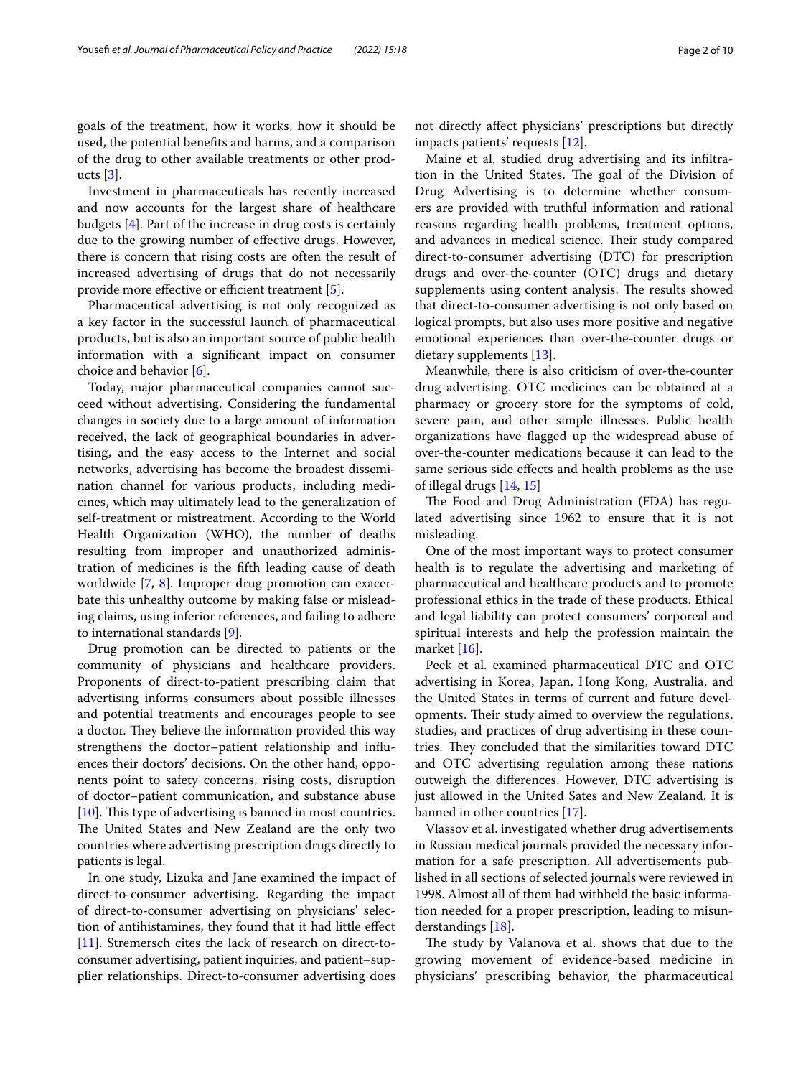goals of the treatment, how it works, how it should be used, the potential benefts and harms, and a comparison of the drug to other available treatments or other products  $[3]$  $[3]$ .

Investment in pharmaceuticals has recently increased and now accounts for the largest share of healthcare budgets [[4\]](#page-9-3). Part of the increase in drug costs is certainly due to the growing number of efective drugs. However, there is concern that rising costs are often the result of increased advertising of drugs that do not necessarily provide more effective or efficient treatment  $[5]$  $[5]$  $[5]$ .

Pharmaceutical advertising is not only recognized as a key factor in the successful launch of pharmaceutical products, but is also an important source of public health information with a signifcant impact on consumer choice and behavior [[6\]](#page-9-5).

Today, major pharmaceutical companies cannot succeed without advertising. Considering the fundamental changes in society due to a large amount of information received, the lack of geographical boundaries in advertising, and the easy access to the Internet and social networks, advertising has become the broadest dissemination channel for various products, including medicines, which may ultimately lead to the generalization of self-treatment or mistreatment. According to the World Health Organization (WHO), the number of deaths resulting from improper and unauthorized administration of medicines is the ffth leading cause of death worldwide [\[7](#page-9-6), [8\]](#page-9-7). Improper drug promotion can exacerbate this unhealthy outcome by making false or misleading claims, using inferior references, and failing to adhere to international standards [[9\]](#page-9-8).

Drug promotion can be directed to patients or the community of physicians and healthcare providers. Proponents of direct-to-patient prescribing claim that advertising informs consumers about possible illnesses and potential treatments and encourages people to see a doctor. They believe the information provided this way strengthens the doctor–patient relationship and infuences their doctors' decisions. On the other hand, opponents point to safety concerns, rising costs, disruption of doctor–patient communication, and substance abuse  $[10]$  $[10]$ . This type of advertising is banned in most countries. The United States and New Zealand are the only two countries where advertising prescription drugs directly to patients is legal.

In one study, Lizuka and Jane examined the impact of direct-to-consumer advertising. Regarding the impact of direct-to-consumer advertising on physicians' selection of antihistamines, they found that it had little efect [[11\]](#page-9-10). Stremersch cites the lack of research on direct-toconsumer advertising, patient inquiries, and patient–supplier relationships. Direct-to-consumer advertising does not directly afect physicians' prescriptions but directly impacts patients' requests [[12\]](#page-9-11).

Maine et al. studied drug advertising and its infltration in the United States. The goal of the Division of Drug Advertising is to determine whether consumers are provided with truthful information and rational reasons regarding health problems, treatment options, and advances in medical science. Their study compared direct-to-consumer advertising (DTC) for prescription drugs and over-the-counter (OTC) drugs and dietary supplements using content analysis. The results showed that direct-to-consumer advertising is not only based on logical prompts, but also uses more positive and negative emotional experiences than over-the-counter drugs or dietary supplements [\[13](#page-9-12)].

Meanwhile, there is also criticism of over-the-counter drug advertising. OTC medicines can be obtained at a pharmacy or grocery store for the symptoms of cold, severe pain, and other simple illnesses. Public health organizations have fagged up the widespread abuse of over-the-counter medications because it can lead to the same serious side efects and health problems as the use of illegal drugs [\[14,](#page-9-13) [15](#page-9-14)]

The Food and Drug Administration (FDA) has regulated advertising since 1962 to ensure that it is not misleading.

One of the most important ways to protect consumer health is to regulate the advertising and marketing of pharmaceutical and healthcare products and to promote professional ethics in the trade of these products. Ethical and legal liability can protect consumers' corporeal and spiritual interests and help the profession maintain the market [\[16](#page-9-15)].

Peek et al. examined pharmaceutical DTC and OTC advertising in Korea, Japan, Hong Kong, Australia, and the United States in terms of current and future developments. Their study aimed to overview the regulations, studies, and practices of drug advertising in these countries. They concluded that the similarities toward DTC and OTC advertising regulation among these nations outweigh the diferences. However, DTC advertising is just allowed in the United Sates and New Zealand. It is banned in other countries [[17\]](#page-9-16).

Vlassov et al. investigated whether drug advertisements in Russian medical journals provided the necessary information for a safe prescription. All advertisements published in all sections of selected journals were reviewed in 1998. Almost all of them had withheld the basic information needed for a proper prescription, leading to misunderstandings [[18\]](#page-9-17).

The study by Valanova et al. shows that due to the growing movement of evidence-based medicine in physicians' prescribing behavior, the pharmaceutical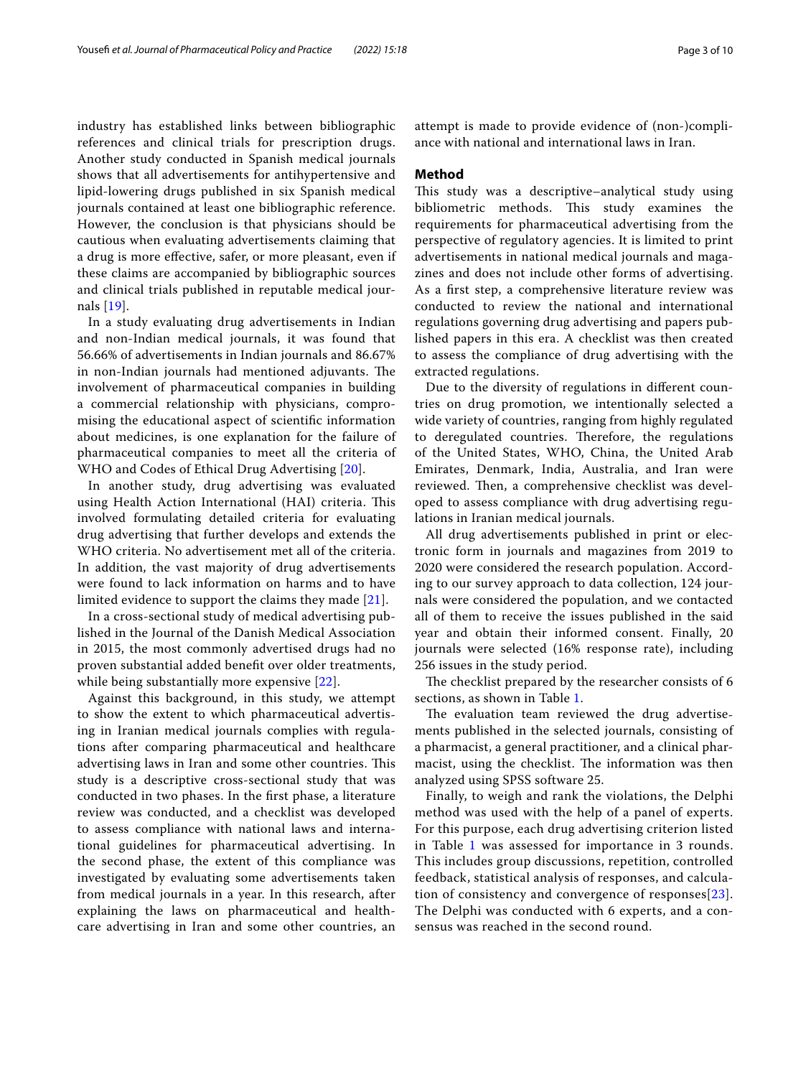industry has established links between bibliographic references and clinical trials for prescription drugs. Another study conducted in Spanish medical journals shows that all advertisements for antihypertensive and lipid-lowering drugs published in six Spanish medical journals contained at least one bibliographic reference. However, the conclusion is that physicians should be cautious when evaluating advertisements claiming that a drug is more efective, safer, or more pleasant, even if these claims are accompanied by bibliographic sources and clinical trials published in reputable medical journals [\[19](#page-9-18)].

In a study evaluating drug advertisements in Indian and non-Indian medical journals, it was found that 56.66% of advertisements in Indian journals and 86.67% in non-Indian journals had mentioned adjuvants. The involvement of pharmaceutical companies in building a commercial relationship with physicians, compromising the educational aspect of scientifc information about medicines, is one explanation for the failure of pharmaceutical companies to meet all the criteria of WHO and Codes of Ethical Drug Advertising [[20](#page-9-19)].

In another study, drug advertising was evaluated using Health Action International (HAI) criteria. This involved formulating detailed criteria for evaluating drug advertising that further develops and extends the WHO criteria. No advertisement met all of the criteria. In addition, the vast majority of drug advertisements were found to lack information on harms and to have limited evidence to support the claims they made [[21](#page-9-20)].

In a cross-sectional study of medical advertising published in the Journal of the Danish Medical Association in 2015, the most commonly advertised drugs had no proven substantial added beneft over older treatments, while being substantially more expensive [\[22](#page-9-21)].

Against this background, in this study, we attempt to show the extent to which pharmaceutical advertising in Iranian medical journals complies with regulations after comparing pharmaceutical and healthcare advertising laws in Iran and some other countries. This study is a descriptive cross-sectional study that was conducted in two phases. In the frst phase, a literature review was conducted, and a checklist was developed to assess compliance with national laws and international guidelines for pharmaceutical advertising. In the second phase, the extent of this compliance was investigated by evaluating some advertisements taken from medical journals in a year. In this research, after explaining the laws on pharmaceutical and healthcare advertising in Iran and some other countries, an attempt is made to provide evidence of (non-)compliance with national and international laws in Iran.

#### **Method**

This study was a descriptive–analytical study using bibliometric methods. This study examines the requirements for pharmaceutical advertising from the perspective of regulatory agencies. It is limited to print advertisements in national medical journals and magazines and does not include other forms of advertising. As a frst step, a comprehensive literature review was conducted to review the national and international regulations governing drug advertising and papers published papers in this era. A checklist was then created to assess the compliance of drug advertising with the extracted regulations.

Due to the diversity of regulations in diferent countries on drug promotion, we intentionally selected a wide variety of countries, ranging from highly regulated to deregulated countries. Therefore, the regulations of the United States, WHO, China, the United Arab Emirates, Denmark, India, Australia, and Iran were reviewed. Then, a comprehensive checklist was developed to assess compliance with drug advertising regulations in Iranian medical journals.

All drug advertisements published in print or electronic form in journals and magazines from 2019 to 2020 were considered the research population. According to our survey approach to data collection, 124 journals were considered the population, and we contacted all of them to receive the issues published in the said year and obtain their informed consent. Finally, 20 journals were selected (16% response rate), including 256 issues in the study period.

The checklist prepared by the researcher consists of 6 sections, as shown in Table [1](#page-3-0).

The evaluation team reviewed the drug advertisements published in the selected journals, consisting of a pharmacist, a general practitioner, and a clinical pharmacist, using the checklist. The information was then analyzed using SPSS software 25.

Finally, to weigh and rank the violations, the Delphi method was used with the help of a panel of experts. For this purpose, each drug advertising criterion listed in Table [1](#page-3-0) was assessed for importance in 3 rounds. This includes group discussions, repetition, controlled feedback, statistical analysis of responses, and calculation of consistency and convergence of responses[[23\]](#page-9-22). The Delphi was conducted with 6 experts, and a consensus was reached in the second round.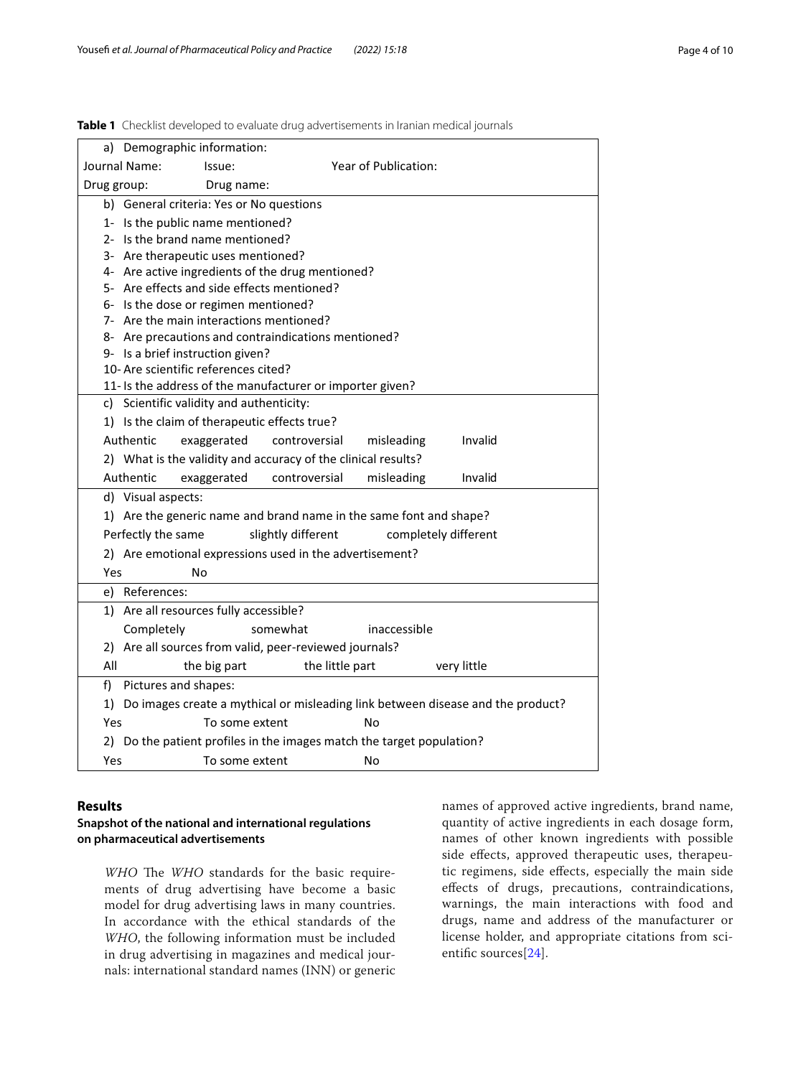|                                                                                    |                      | a) Demographic information:                                                             |                    |                                                                       |                      |         |
|------------------------------------------------------------------------------------|----------------------|-----------------------------------------------------------------------------------------|--------------------|-----------------------------------------------------------------------|----------------------|---------|
| Journal Name:                                                                      |                      | Issue:                                                                                  |                    | Year of Publication:                                                  |                      |         |
| Drug group:                                                                        |                      | Drug name:                                                                              |                    |                                                                       |                      |         |
|                                                                                    |                      | b) General criteria: Yes or No questions                                                |                    |                                                                       |                      |         |
|                                                                                    |                      | 1- Is the public name mentioned?                                                        |                    |                                                                       |                      |         |
|                                                                                    |                      | 2- Is the brand name mentioned?                                                         |                    |                                                                       |                      |         |
|                                                                                    |                      | 3- Are therapeutic uses mentioned?                                                      |                    |                                                                       |                      |         |
|                                                                                    |                      | 4- Are active ingredients of the drug mentioned?                                        |                    |                                                                       |                      |         |
|                                                                                    |                      | 5- Are effects and side effects mentioned?                                              |                    |                                                                       |                      |         |
|                                                                                    |                      | 6- Is the dose or regimen mentioned?                                                    |                    |                                                                       |                      |         |
|                                                                                    |                      | 7- Are the main interactions mentioned?                                                 |                    |                                                                       |                      |         |
|                                                                                    |                      | 8- Are precautions and contraindications mentioned?<br>9- Is a brief instruction given? |                    |                                                                       |                      |         |
|                                                                                    |                      | 10- Are scientific references cited?                                                    |                    |                                                                       |                      |         |
|                                                                                    |                      |                                                                                         |                    | 11- Is the address of the manufacturer or importer given?             |                      |         |
|                                                                                    |                      | c) Scientific validity and authenticity:                                                |                    |                                                                       |                      |         |
|                                                                                    |                      | 1) Is the claim of therapeutic effects true?                                            |                    |                                                                       |                      |         |
|                                                                                    | Authentic            | exaggerated                                                                             | controversial      | misleading                                                            |                      | Invalid |
|                                                                                    |                      |                                                                                         |                    | 2) What is the validity and accuracy of the clinical results?         |                      |         |
|                                                                                    | Authentic            | exaggerated                                                                             | controversial      | misleading                                                            |                      | Invalid |
|                                                                                    | d) Visual aspects:   |                                                                                         |                    |                                                                       |                      |         |
|                                                                                    |                      |                                                                                         |                    | 1) Are the generic name and brand name in the same font and shape?    |                      |         |
|                                                                                    | Perfectly the same   |                                                                                         | slightly different |                                                                       | completely different |         |
|                                                                                    |                      |                                                                                         |                    | 2) Are emotional expressions used in the advertisement?               |                      |         |
| Yes                                                                                |                      | N٥                                                                                      |                    |                                                                       |                      |         |
|                                                                                    | e) References:       |                                                                                         |                    |                                                                       |                      |         |
|                                                                                    |                      |                                                                                         |                    |                                                                       |                      |         |
|                                                                                    |                      | 1) Are all resources fully accessible?                                                  |                    |                                                                       |                      |         |
|                                                                                    | Completely           |                                                                                         | somewhat           | inaccessible                                                          |                      |         |
|                                                                                    |                      | 2) Are all sources from valid, peer-reviewed journals?                                  |                    |                                                                       |                      |         |
| All                                                                                |                      | the big part                                                                            |                    | the little part                                                       | very little          |         |
| f)                                                                                 | Pictures and shapes: |                                                                                         |                    |                                                                       |                      |         |
| 1) Do images create a mythical or misleading link between disease and the product? |                      |                                                                                         |                    |                                                                       |                      |         |
| Yes                                                                                | To some extent<br>No |                                                                                         |                    |                                                                       |                      |         |
|                                                                                    |                      |                                                                                         |                    | 2) Do the patient profiles in the images match the target population? |                      |         |
| Yes                                                                                |                      | To some extent                                                                          |                    | No                                                                    |                      |         |
|                                                                                    |                      |                                                                                         |                    |                                                                       |                      |         |

<span id="page-3-0"></span>**Table 1** Checklist developed to evaluate drug advertisements in Iranian medical journals

#### **Results**

## **Snapshot of the national and international regulations on pharmaceutical advertisements**

*WHO* The *WHO* standards for the basic requirements of drug advertising have become a basic model for drug advertising laws in many countries. In accordance with the ethical standards of the *WHO*, the following information must be included in drug advertising in magazines and medical journals: international standard names (INN) or generic

names of approved active ingredients, brand name, quantity of active ingredients in each dosage form, names of other known ingredients with possible side efects, approved therapeutic uses, therapeutic regimens, side efects, especially the main side efects of drugs, precautions, contraindications, warnings, the main interactions with food and drugs, name and address of the manufacturer or license holder, and appropriate citations from sci-entific sources<sup>[\[24](#page-9-23)]</sup>.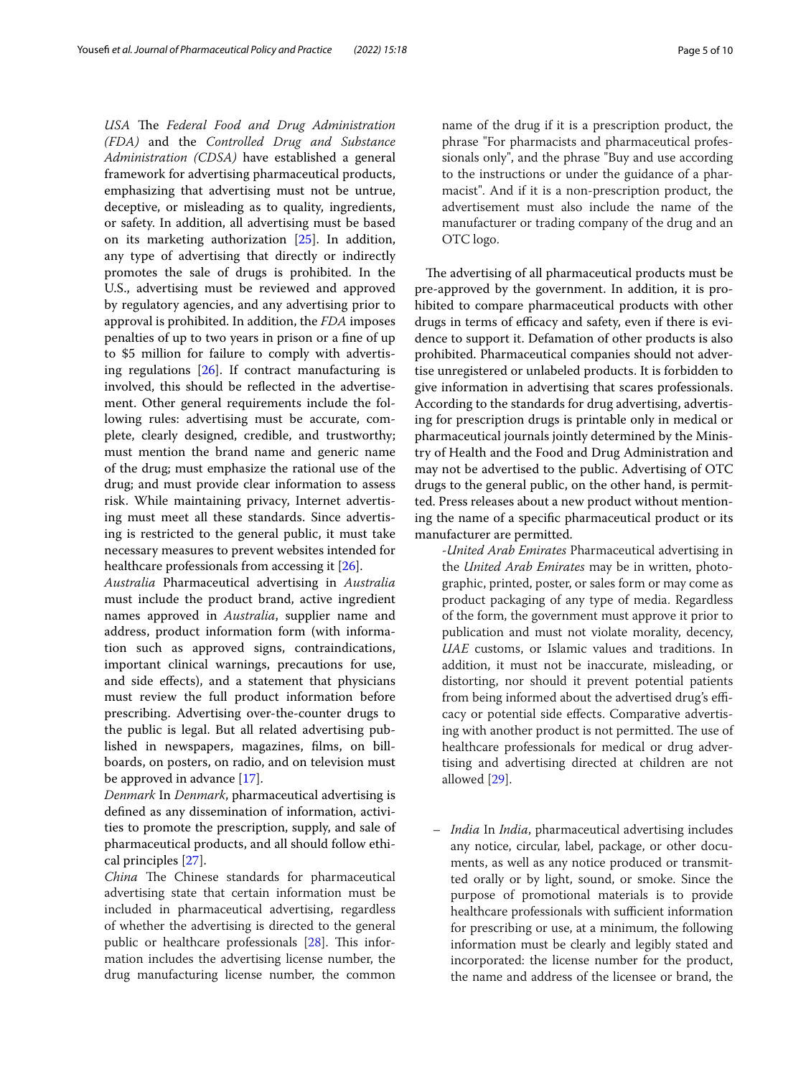USA The Federal Food and Drug Administration *(FDA)* and the *Controlled Drug and Substance Administration (CDSA)* have established a general framework for advertising pharmaceutical products, emphasizing that advertising must not be untrue, deceptive, or misleading as to quality, ingredients, or safety. In addition, all advertising must be based on its marketing authorization [\[25](#page-9-24)]. In addition, any type of advertising that directly or indirectly promotes the sale of drugs is prohibited. In the U.S., advertising must be reviewed and approved by regulatory agencies, and any advertising prior to approval is prohibited. In addition, the *FDA* imposes penalties of up to two years in prison or a fne of up to \$5 million for failure to comply with advertising regulations [\[26](#page-9-25)]. If contract manufacturing is involved, this should be refected in the advertisement. Other general requirements include the following rules: advertising must be accurate, complete, clearly designed, credible, and trustworthy; must mention the brand name and generic name of the drug; must emphasize the rational use of the drug; and must provide clear information to assess risk. While maintaining privacy, Internet advertising must meet all these standards. Since advertising is restricted to the general public, it must take necessary measures to prevent websites intended for healthcare professionals from accessing it [\[26](#page-9-25)].

*Australia* Pharmaceutical advertising in *Australia* must include the product brand, active ingredient names approved in *Australia*, supplier name and address, product information form (with information such as approved signs, contraindications, important clinical warnings, precautions for use, and side efects), and a statement that physicians must review the full product information before prescribing. Advertising over-the-counter drugs to the public is legal. But all related advertising published in newspapers, magazines, flms, on billboards, on posters, on radio, and on television must be approved in advance [\[17](#page-9-16)].

*Denmark* In *Denmark*, pharmaceutical advertising is defned as any dissemination of information, activities to promote the prescription, supply, and sale of pharmaceutical products, and all should follow ethical principles [\[27](#page-9-26)].

*China* The Chinese standards for pharmaceutical advertising state that certain information must be included in pharmaceutical advertising, regardless of whether the advertising is directed to the general public or healthcare professionals [\[28\]](#page-9-27). This information includes the advertising license number, the drug manufacturing license number, the common

name of the drug if it is a prescription product, the phrase "For pharmacists and pharmaceutical professionals only", and the phrase "Buy and use according to the instructions or under the guidance of a pharmacist". And if it is a non-prescription product, the advertisement must also include the name of the manufacturer or trading company of the drug and an OTC logo.

The advertising of all pharmaceutical products must be pre-approved by the government. In addition, it is prohibited to compare pharmaceutical products with other drugs in terms of efficacy and safety, even if there is evidence to support it. Defamation of other products is also prohibited. Pharmaceutical companies should not advertise unregistered or unlabeled products. It is forbidden to give information in advertising that scares professionals. According to the standards for drug advertising, advertising for prescription drugs is printable only in medical or pharmaceutical journals jointly determined by the Ministry of Health and the Food and Drug Administration and may not be advertised to the public. Advertising of OTC drugs to the general public, on the other hand, is permitted. Press releases about a new product without mentioning the name of a specifc pharmaceutical product or its manufacturer are permitted.

-*United Arab Emirates* Pharmaceutical advertising in the *United Arab Emirates* may be in written, photographic, printed, poster, or sales form or may come as product packaging of any type of media. Regardless of the form, the government must approve it prior to publication and must not violate morality, decency, *UAE* customs, or Islamic values and traditions. In addition, it must not be inaccurate, misleading, or distorting, nor should it prevent potential patients from being informed about the advertised drug's efficacy or potential side efects. Comparative advertising with another product is not permitted. The use of healthcare professionals for medical or drug advertising and advertising directed at children are not allowed [\[29\]](#page-9-28).

– *India* In *India*, pharmaceutical advertising includes any notice, circular, label, package, or other documents, as well as any notice produced or transmitted orally or by light, sound, or smoke. Since the purpose of promotional materials is to provide healthcare professionals with sufficient information for prescribing or use, at a minimum, the following information must be clearly and legibly stated and incorporated: the license number for the product, the name and address of the licensee or brand, the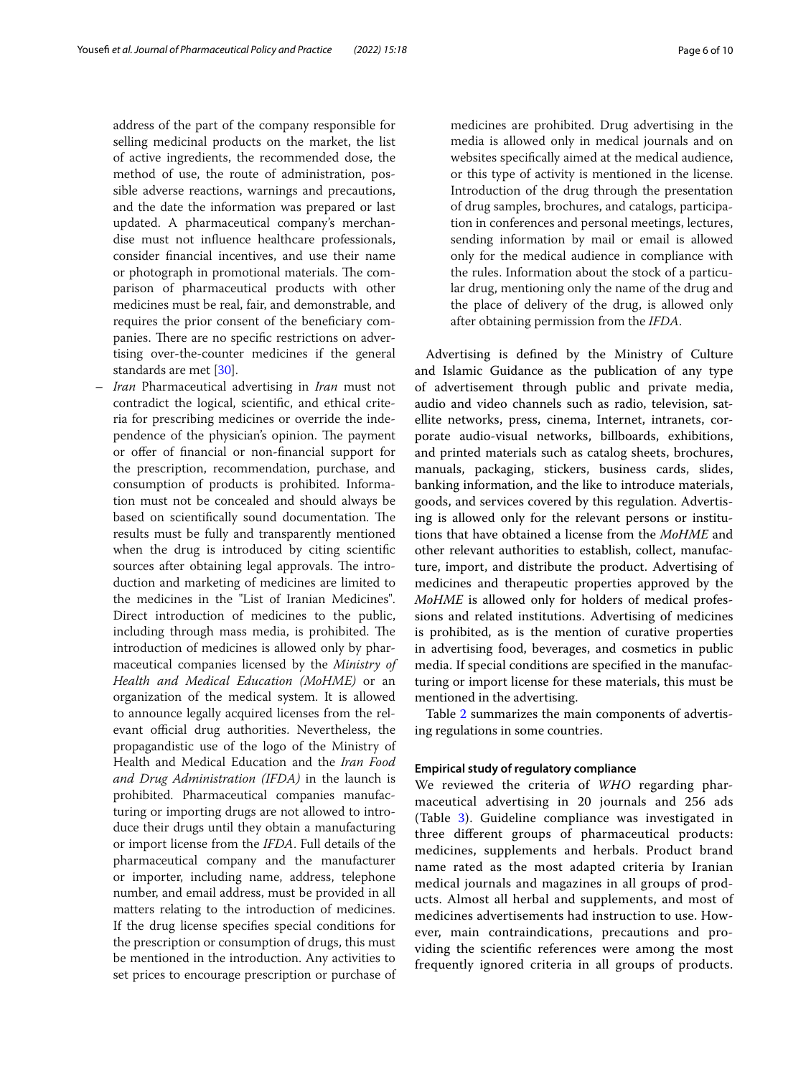address of the part of the company responsible for selling medicinal products on the market, the list of active ingredients, the recommended dose, the method of use, the route of administration, possible adverse reactions, warnings and precautions, and the date the information was prepared or last updated. A pharmaceutical company's merchandise must not infuence healthcare professionals, consider fnancial incentives, and use their name or photograph in promotional materials. The comparison of pharmaceutical products with other medicines must be real, fair, and demonstrable, and requires the prior consent of the benefciary companies. There are no specific restrictions on advertising over-the-counter medicines if the general standards are met [\[30\]](#page-9-29).

– *Iran* Pharmaceutical advertising in *Iran* must not contradict the logical, scientifc, and ethical criteria for prescribing medicines or override the independence of the physician's opinion. The payment or offer of financial or non-financial support for the prescription, recommendation, purchase, and consumption of products is prohibited. Information must not be concealed and should always be based on scientifically sound documentation. The results must be fully and transparently mentioned when the drug is introduced by citing scientifc sources after obtaining legal approvals. The introduction and marketing of medicines are limited to the medicines in the "List of Iranian Medicines". Direct introduction of medicines to the public, including through mass media, is prohibited. The introduction of medicines is allowed only by pharmaceutical companies licensed by the *Ministry of Health and Medical Education (MoHME)* or an organization of the medical system. It is allowed to announce legally acquired licenses from the relevant official drug authorities. Nevertheless, the propagandistic use of the logo of the Ministry of Health and Medical Education and the *Iran Food and Drug Administration (IFDA)* in the launch is prohibited. Pharmaceutical companies manufacturing or importing drugs are not allowed to introduce their drugs until they obtain a manufacturing or import license from the *IFDA*. Full details of the pharmaceutical company and the manufacturer or importer, including name, address, telephone number, and email address, must be provided in all matters relating to the introduction of medicines. If the drug license specifes special conditions for the prescription or consumption of drugs, this must be mentioned in the introduction. Any activities to set prices to encourage prescription or purchase of

medicines are prohibited. Drug advertising in the media is allowed only in medical journals and on websites specifcally aimed at the medical audience, or this type of activity is mentioned in the license. Introduction of the drug through the presentation of drug samples, brochures, and catalogs, participation in conferences and personal meetings, lectures, sending information by mail or email is allowed only for the medical audience in compliance with the rules. Information about the stock of a particular drug, mentioning only the name of the drug and the place of delivery of the drug, is allowed only after obtaining permission from the *IFDA*.

Advertising is defned by the Ministry of Culture and Islamic Guidance as the publication of any type of advertisement through public and private media, audio and video channels such as radio, television, satellite networks, press, cinema, Internet, intranets, corporate audio-visual networks, billboards, exhibitions, and printed materials such as catalog sheets, brochures, manuals, packaging, stickers, business cards, slides, banking information, and the like to introduce materials, goods, and services covered by this regulation. Advertising is allowed only for the relevant persons or institutions that have obtained a license from the *MoHME* and other relevant authorities to establish, collect, manufacture, import, and distribute the product. Advertising of medicines and therapeutic properties approved by the *MoHME* is allowed only for holders of medical professions and related institutions. Advertising of medicines is prohibited, as is the mention of curative properties in advertising food, beverages, and cosmetics in public media. If special conditions are specifed in the manufacturing or import license for these materials, this must be mentioned in the advertising.

Table [2](#page-6-0) summarizes the main components of advertising regulations in some countries.

#### **Empirical study of regulatory compliance**

We reviewed the criteria of *WHO* regarding pharmaceutical advertising in 20 journals and 256 ads (Table [3\)](#page-6-1). Guideline compliance was investigated in three diferent groups of pharmaceutical products: medicines, supplements and herbals. Product brand name rated as the most adapted criteria by Iranian medical journals and magazines in all groups of products. Almost all herbal and supplements, and most of medicines advertisements had instruction to use. However, main contraindications, precautions and providing the scientifc references were among the most frequently ignored criteria in all groups of products.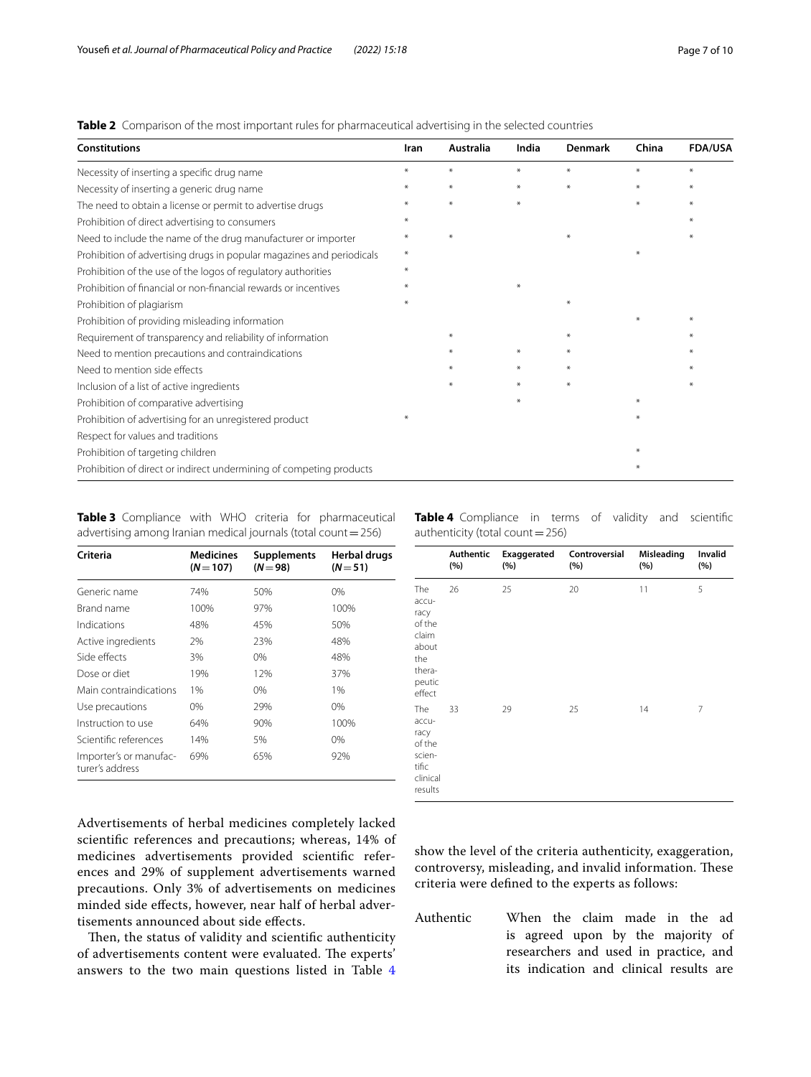<span id="page-6-0"></span>**Table 2** Comparison of the most important rules for pharmaceutical advertising in the selected countries

| <b>Constitutions</b>                                                  | Iran   | Australia | India  | <b>Denmark</b> | China | <b>FDA/USA</b> |
|-----------------------------------------------------------------------|--------|-----------|--------|----------------|-------|----------------|
| Necessity of inserting a specific drug name                           | $*$    | $*$       | $*$    | ¥              | $*$   | $*$            |
| Necessity of inserting a generic drug name                            | $\ast$ | $\ast$    | $\ast$ | $*$            | $*$   | ¥              |
| The need to obtain a license or permit to advertise drugs             |        | $\ast$    | $\ast$ |                |       |                |
| Prohibition of direct advertising to consumers                        |        |           |        |                |       |                |
| Need to include the name of the drug manufacturer or importer         |        | $\ast$    |        |                |       |                |
| Prohibition of advertising drugs in popular magazines and periodicals | $\ast$ |           |        |                | ÷.    |                |
| Prohibition of the use of the logos of regulatory authorities         |        |           |        |                |       |                |
| Prohibition of financial or non-financial rewards or incentives       |        |           |        |                |       |                |
| Prohibition of plagiarism                                             |        |           |        | ⋇              |       |                |
| Prohibition of providing misleading information                       |        |           |        |                |       |                |
| Requirement of transparency and reliability of information            |        |           |        |                |       |                |
| Need to mention precautions and contraindications                     |        |           | $*$    |                |       |                |
| Need to mention side effects                                          |        |           | $*$    |                |       |                |
| Inclusion of a list of active ingredients                             |        |           | $*$    | ¥              |       |                |
| Prohibition of comparative advertising                                |        |           | $*$    |                |       |                |
| Prohibition of advertising for an unregistered product                |        |           |        |                |       |                |
| Respect for values and traditions                                     |        |           |        |                |       |                |
| Prohibition of targeting children                                     |        |           |        |                |       |                |
| Prohibition of direct or indirect undermining of competing products   |        |           |        |                | $*$   |                |

<span id="page-6-1"></span>**Table 3** Compliance with WHO criteria for pharmaceutical advertising among Iranian medical journals (total count=256)

| Criteria                                  | <b>Medicines</b><br>$(N=107)$ | <b>Supplements</b><br>$(N = 98)$ | Herbal drugs<br>$(N = 51)$ |
|-------------------------------------------|-------------------------------|----------------------------------|----------------------------|
| Generic name                              | 74%                           | 50%                              | 0%                         |
| Brand name                                | 100%                          | 97%                              | 100%                       |
| Indications                               | 48%                           | 45%                              | 50%                        |
| Active ingredients                        | 2%                            | 23%                              | 48%                        |
| Side effects                              | 3%                            | $0\%$                            | 48%                        |
| Dose or diet                              | 19%                           | 12%                              | 37%                        |
| Main contraindications                    | 1%                            | $0\%$                            | 1%                         |
| Use precautions                           | $0\%$                         | 29%                              | $0\%$                      |
| Instruction to use                        | 64%                           | 90%                              | 100%                       |
| Scientific references                     | 14%                           | 5%                               | $0\%$                      |
| Importer's or manufac-<br>turer's address | 69%                           | 65%                              | 92%                        |

Advertisements of herbal medicines completely lacked scientifc references and precautions; whereas, 14% of medicines advertisements provided scientifc references and 29% of supplement advertisements warned precautions. Only 3% of advertisements on medicines minded side efects, however, near half of herbal advertisements announced about side efects.

Then, the status of validity and scientific authenticity of advertisements content were evaluated. The experts' answers to the two main questions listed in Table [4](#page-6-2) <span id="page-6-2"></span>**Table 4** Compliance in terms of validity and scientific authenticity (total count=256)

|                                                                                       | Authentic<br>(%) | Exaggerated<br>(%) | Controversial<br>(%) | Misleading<br>(%) | Invalid<br>(%) |
|---------------------------------------------------------------------------------------|------------------|--------------------|----------------------|-------------------|----------------|
| The<br>accu-<br>racy<br>of the<br>claim<br>about<br>the<br>thera-<br>peutic<br>effect | 26               | 25                 | 20                   | 11                | 5              |
| The<br>accu-<br>racy<br>of the<br>scien-<br>tific<br>clinical<br>results              | 33               | 29                 | 25                   | 14                | 7              |

show the level of the criteria authenticity, exaggeration, controversy, misleading, and invalid information. These criteria were defned to the experts as follows:

Authentic When the claim made in the ad is agreed upon by the majority of researchers and used in practice, and its indication and clinical results are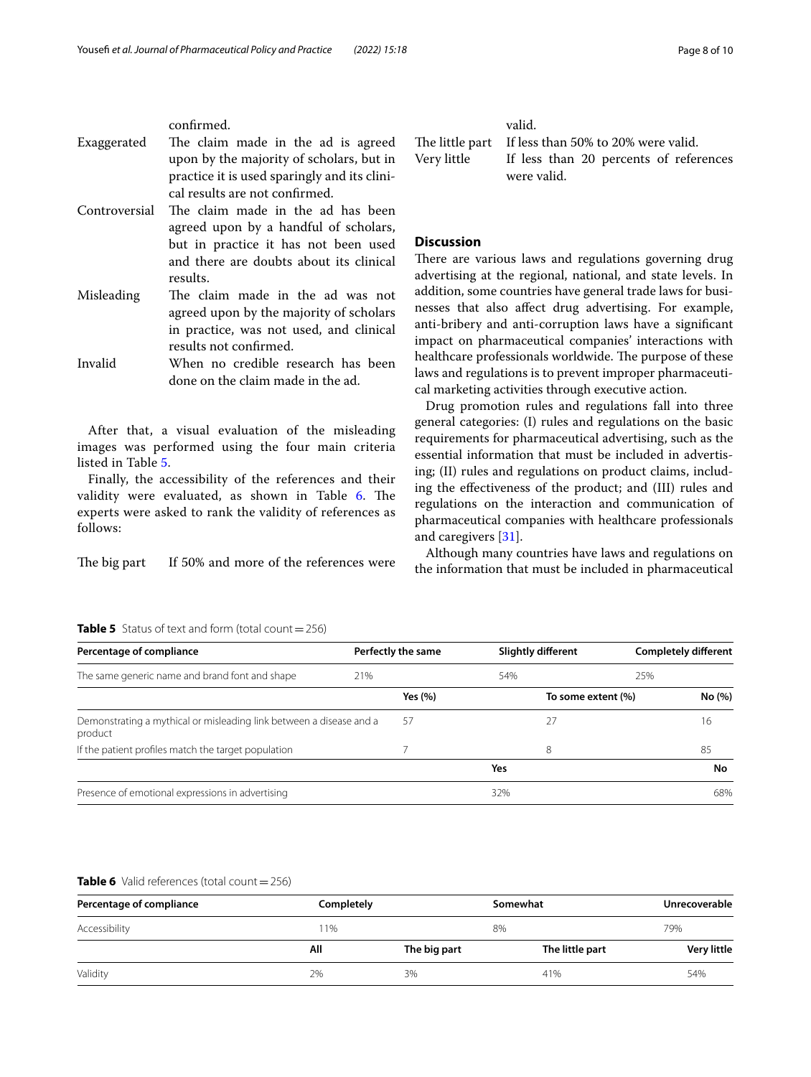confrmed.

- Exaggerated The claim made in the ad is agreed upon by the majority of scholars, but in practice it is used sparingly and its clinical results are not confrmed.
- Controversial The claim made in the ad has been agreed upon by a handful of scholars, but in practice it has not been used and there are doubts about its clinical results.
- Misleading The claim made in the ad was not agreed upon by the majority of scholars in practice, was not used, and clinical results not confrmed.

Invalid When no credible research has been done on the claim made in the ad.

After that, a visual evaluation of the misleading images was performed using the four main criteria listed in Table [5](#page-7-0).

Finally, the accessibility of the references and their validity were evaluated, as shown in Table [6](#page-7-1). The experts were asked to rank the validity of references as follows:

The big part If 50% and more of the references were

| valid.                                              |
|-----------------------------------------------------|
| The little part If less than 50% to 20% were valid. |
| Very little If less than 20 percents of references  |
| were valid.                                         |

## **Discussion**

There are various laws and regulations governing drug advertising at the regional, national, and state levels. In addition, some countries have general trade laws for businesses that also afect drug advertising. For example, anti-bribery and anti-corruption laws have a signifcant impact on pharmaceutical companies' interactions with healthcare professionals worldwide. The purpose of these laws and regulations is to prevent improper pharmaceutical marketing activities through executive action.

Drug promotion rules and regulations fall into three general categories: (I) rules and regulations on the basic requirements for pharmaceutical advertising, such as the essential information that must be included in advertising; (II) rules and regulations on product claims, including the efectiveness of the product; and (III) rules and regulations on the interaction and communication of pharmaceutical companies with healthcare professionals and caregivers [[31\]](#page-9-30).

Although many countries have laws and regulations on the information that must be included in pharmaceutical

#### <span id="page-7-0"></span>**Table 5** Status of text and form (total count $=$  256)

| Percentage of compliance                                                       |     | Perfectly the same |     | <b>Slightly different</b> | <b>Completely different</b> |  |
|--------------------------------------------------------------------------------|-----|--------------------|-----|---------------------------|-----------------------------|--|
| The same generic name and brand font and shape                                 | 21% |                    | 54% | 25%                       |                             |  |
|                                                                                |     | Yes $(\% )$        |     | To some extent (%)        | No (%)                      |  |
| Demonstrating a mythical or misleading link between a disease and a<br>product |     | 57                 | 27  |                           | 16                          |  |
| If the patient profiles match the target population                            |     |                    | 8   |                           | 85                          |  |
|                                                                                |     |                    | Yes |                           | No                          |  |
| Presence of emotional expressions in advertising                               |     |                    | 32% |                           | 68%                         |  |

#### <span id="page-7-1"></span>**Table 6** Valid references (total count = 256)

| Percentage of compliance | Completely |              | Somewhat        | <b>Unrecoverable</b> |  |
|--------------------------|------------|--------------|-----------------|----------------------|--|
| Accessibility            | ' 1%       |              | 8%              |                      |  |
|                          | All        | The big part | The little part | <b>Very little</b>   |  |
| Validity                 | 2%         | 3%           | 41%             | 54%                  |  |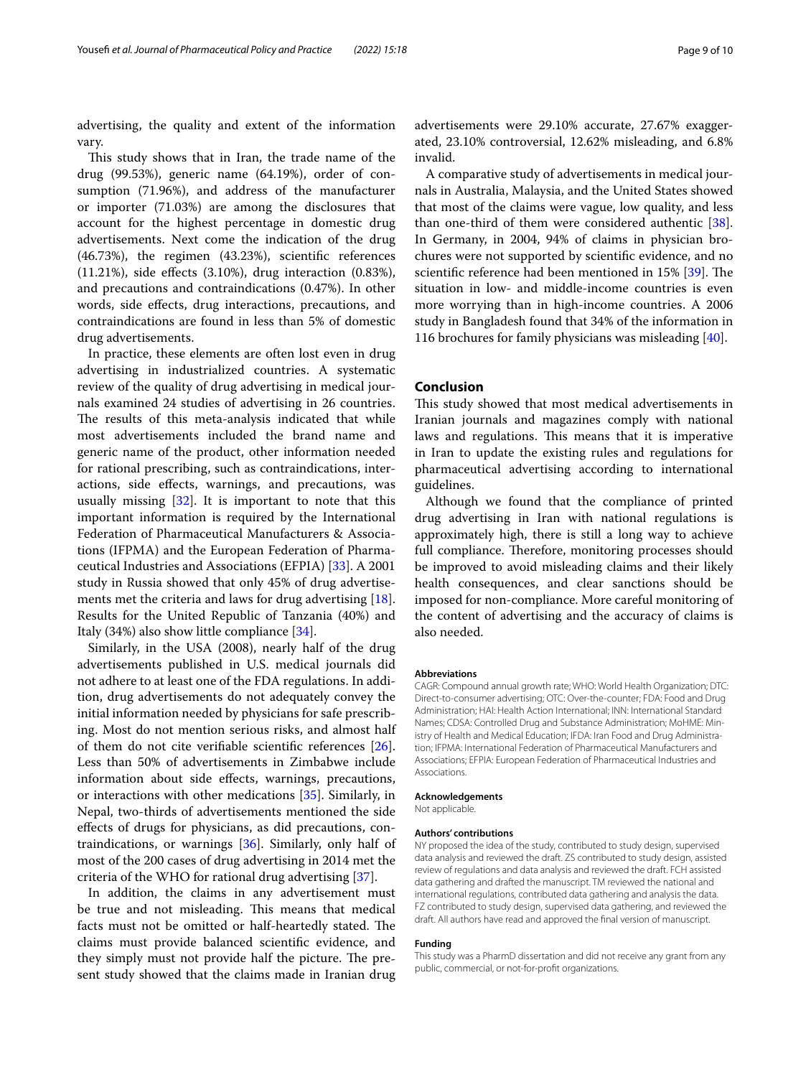advertising, the quality and extent of the information vary.

This study shows that in Iran, the trade name of the drug (99.53%), generic name (64.19%), order of consumption (71.96%), and address of the manufacturer or importer (71.03%) are among the disclosures that account for the highest percentage in domestic drug advertisements. Next come the indication of the drug (46.73%), the regimen (43.23%), scientifc references (11.21%), side efects (3.10%), drug interaction (0.83%), and precautions and contraindications (0.47%). In other words, side efects, drug interactions, precautions, and contraindications are found in less than 5% of domestic drug advertisements.

In practice, these elements are often lost even in drug advertising in industrialized countries. A systematic review of the quality of drug advertising in medical journals examined 24 studies of advertising in 26 countries. The results of this meta-analysis indicated that while most advertisements included the brand name and generic name of the product, other information needed for rational prescribing, such as contraindications, interactions, side efects, warnings, and precautions, was usually missing  $[32]$  $[32]$ . It is important to note that this important information is required by the International Federation of Pharmaceutical Manufacturers & Associations (IFPMA) and the European Federation of Pharmaceutical Industries and Associations (EFPIA) [\[33](#page-9-32)]. A 2001 study in Russia showed that only 45% of drug advertisements met the criteria and laws for drug advertising [\[18](#page-9-17)]. Results for the United Republic of Tanzania (40%) and Italy (34%) also show little compliance [\[34](#page-9-33)].

Similarly, in the USA (2008), nearly half of the drug advertisements published in U.S. medical journals did not adhere to at least one of the FDA regulations. In addition, drug advertisements do not adequately convey the initial information needed by physicians for safe prescribing. Most do not mention serious risks, and almost half of them do not cite verifable scientifc references [\[26](#page-9-25)]. Less than 50% of advertisements in Zimbabwe include information about side efects, warnings, precautions, or interactions with other medications [[35\]](#page-9-34). Similarly, in Nepal, two-thirds of advertisements mentioned the side efects of drugs for physicians, as did precautions, contraindications, or warnings [[36](#page-9-35)]. Similarly, only half of most of the 200 cases of drug advertising in 2014 met the criteria of the WHO for rational drug advertising [\[37\]](#page-9-36).

In addition, the claims in any advertisement must be true and not misleading. This means that medical facts must not be omitted or half-heartedly stated. The claims must provide balanced scientifc evidence, and they simply must not provide half the picture. The present study showed that the claims made in Iranian drug

advertisements were 29.10% accurate, 27.67% exaggerated, 23.10% controversial, 12.62% misleading, and 6.8% invalid.

A comparative study of advertisements in medical journals in Australia, Malaysia, and the United States showed that most of the claims were vague, low quality, and less than one-third of them were considered authentic [\[38](#page-9-37)]. In Germany, in 2004, 94% of claims in physician brochures were not supported by scientifc evidence, and no scientific reference had been mentioned in 15% [\[39](#page-9-38)]. The situation in low- and middle-income countries is even more worrying than in high-income countries. A 2006 study in Bangladesh found that 34% of the information in 116 brochures for family physicians was misleading [\[40](#page-9-39)].

#### **Conclusion**

This study showed that most medical advertisements in Iranian journals and magazines comply with national laws and regulations. This means that it is imperative in Iran to update the existing rules and regulations for pharmaceutical advertising according to international guidelines.

Although we found that the compliance of printed drug advertising in Iran with national regulations is approximately high, there is still a long way to achieve full compliance. Therefore, monitoring processes should be improved to avoid misleading claims and their likely health consequences, and clear sanctions should be imposed for non-compliance. More careful monitoring of the content of advertising and the accuracy of claims is also needed.

#### **Abbreviations**

CAGR: Compound annual growth rate; WHO: World Health Organization; DTC: Direct-to-consumer advertising; OTC: Over-the-counter; FDA: Food and Drug Administration; HAI: Health Action International; INN: International Standard Names; CDSA: Controlled Drug and Substance Administration; MoHME: Ministry of Health and Medical Education; IFDA: Iran Food and Drug Administration; IFPMA: International Federation of Pharmaceutical Manufacturers and Associations; EFPIA: European Federation of Pharmaceutical Industries and Associations.

#### **Acknowledgements**

Not applicable.

#### **Authors' contributions**

NY proposed the idea of the study, contributed to study design, supervised data analysis and reviewed the draft. ZS contributed to study design, assisted review of regulations and data analysis and reviewed the draft. FCH assisted data gathering and drafted the manuscript. TM reviewed the national and international regulations, contributed data gathering and analysis the data. FZ contributed to study design, supervised data gathering, and reviewed the draft. All authors have read and approved the fnal version of manuscript.

#### **Funding**

This study was a PharmD dissertation and did not receive any grant from any public, commercial, or not-for-proft organizations.